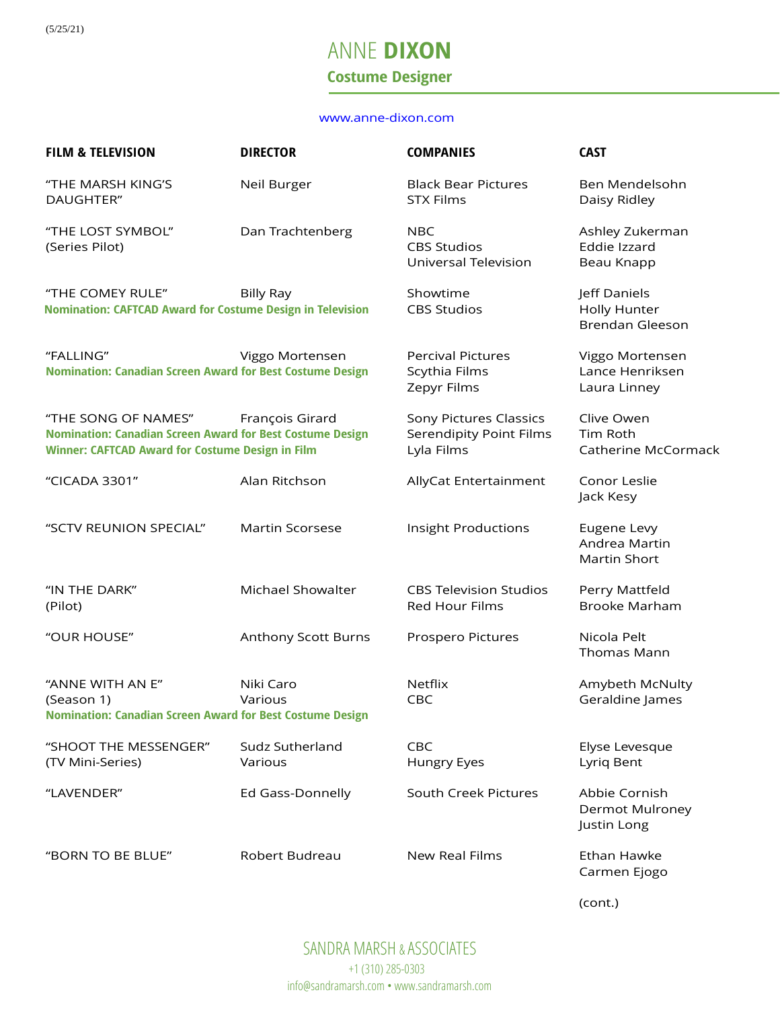# ANNE **DIXON Costume Designer**

#### [www.anne-dixon.com](http://www.anne-dixon.com/)

| <b>FILM &amp; TELEVISION</b>                                                                                                                       | <b>DIRECTOR</b>            | <b>COMPANIES</b>                                                       | <b>CAST</b>                                                   |
|----------------------------------------------------------------------------------------------------------------------------------------------------|----------------------------|------------------------------------------------------------------------|---------------------------------------------------------------|
| "THE MARSH KING'S<br>DAUGHTER"                                                                                                                     | Neil Burger                | <b>Black Bear Pictures</b><br><b>STX Films</b>                         | Ben Mendelsohn<br>Daisy Ridley                                |
| "THE LOST SYMBOL"<br>(Series Pilot)                                                                                                                | Dan Trachtenberg           | <b>NBC</b><br><b>CBS Studios</b><br>Universal Television               | Ashley Zukerman<br>Eddie Izzard<br>Beau Knapp                 |
| "THE COMEY RULE"<br><b>Nomination: CAFTCAD Award for Costume Design in Television</b>                                                              | <b>Billy Ray</b>           | Showtime<br><b>CBS Studios</b>                                         | Jeff Daniels<br><b>Holly Hunter</b><br><b>Brendan Gleeson</b> |
| "FALLING"<br><b>Nomination: Canadian Screen Award for Best Costume Design</b>                                                                      | Viggo Mortensen            | <b>Percival Pictures</b><br>Scythia Films<br>Zepyr Films               | Viggo Mortensen<br>Lance Henriksen<br>Laura Linney            |
| "THE SONG OF NAMES"<br><b>Nomination: Canadian Screen Award for Best Costume Design</b><br><b>Winner: CAFTCAD Award for Costume Design in Film</b> | François Girard            | Sony Pictures Classics<br><b>Serendipity Point Films</b><br>Lyla Films | Clive Owen<br>Tim Roth<br>Catherine McCormack                 |
| "CICADA 3301"                                                                                                                                      | Alan Ritchson              | AllyCat Entertainment                                                  | Conor Leslie<br>Jack Kesy                                     |
| "SCTV REUNION SPECIAL"                                                                                                                             | <b>Martin Scorsese</b>     | Insight Productions                                                    | Eugene Levy<br>Andrea Martin<br>Martin Short                  |
| "IN THE DARK"<br>(Pilot)                                                                                                                           | Michael Showalter          | <b>CBS Television Studios</b><br>Red Hour Films                        | Perry Mattfeld<br><b>Brooke Marham</b>                        |
| "OUR HOUSE"                                                                                                                                        | Anthony Scott Burns        | Prospero Pictures                                                      | Nicola Pelt<br>Thomas Mann                                    |
| "ANNE WITH AN E"<br>(Season 1)<br><b>Nomination: Canadian Screen Award for Best Costume Design</b>                                                 | Niki Caro<br>Various       | <b>Netflix</b><br>CBC                                                  | Amybeth McNulty<br>Geraldine James                            |
| "SHOOT THE MESSENGER"<br>(TV Mini-Series)                                                                                                          | Sudz Sutherland<br>Various | CBC<br>Hungry Eyes                                                     | Elyse Levesque<br>Lyriq Bent                                  |
| "LAVENDER"                                                                                                                                         | Ed Gass-Donnelly           | South Creek Pictures                                                   | Abbie Cornish<br><b>Dermot Mulroney</b><br>Justin Long        |
| "BORN TO BE BLUE"                                                                                                                                  | Robert Budreau             | New Real Films                                                         | Ethan Hawke<br>Carmen Ejogo                                   |

(cont.)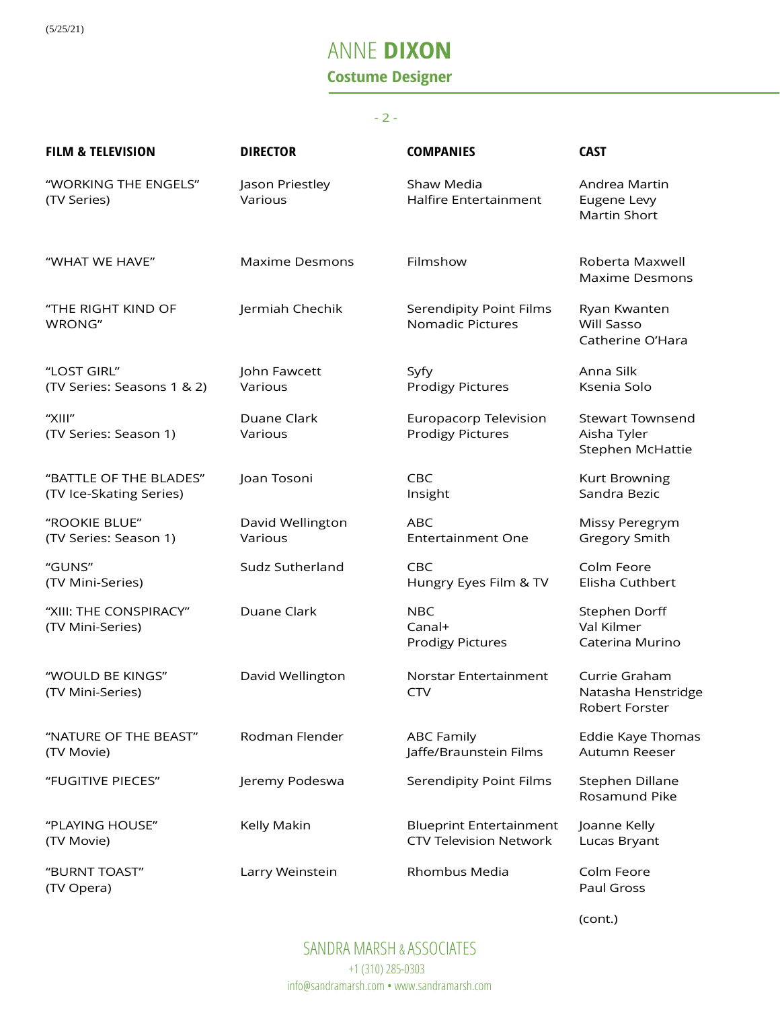(5/25/21)

# ANNE **DIXON Costume Designer**

#### - 2 -

| <b>FILM &amp; TELEVISION</b>                      | <b>DIRECTOR</b>             | <b>COMPANIES</b>                                                | <b>CAST</b>                                                |
|---------------------------------------------------|-----------------------------|-----------------------------------------------------------------|------------------------------------------------------------|
| "WORKING THE ENGELS"<br>(TV Series)               | Jason Priestley<br>Various  | Shaw Media<br>Halfire Entertainment                             | Andrea Martin<br>Eugene Levy<br>Martin Short               |
| "WHAT WE HAVE"                                    | <b>Maxime Desmons</b>       | Filmshow                                                        | Roberta Maxwell<br><b>Maxime Desmons</b>                   |
| "THE RIGHT KIND OF<br>WRONG"                      | Jermiah Chechik             | Serendipity Point Films<br><b>Nomadic Pictures</b>              | Ryan Kwanten<br><b>Will Sasso</b><br>Catherine O'Hara      |
| "LOST GIRL"<br>(TV Series: Seasons 1 & 2)         | John Fawcett<br>Various     | Syfy<br><b>Prodigy Pictures</b>                                 | Anna Silk<br>Ksenia Solo                                   |
| "XIII"<br>(TV Series: Season 1)                   | Duane Clark<br>Various      | Europacorp Television<br><b>Prodigy Pictures</b>                | <b>Stewart Townsend</b><br>Aisha Tyler<br>Stephen McHattie |
| "BATTLE OF THE BLADES"<br>(TV Ice-Skating Series) | Joan Tosoni                 | CBC<br>Insight                                                  | Kurt Browning<br>Sandra Bezic                              |
| "ROOKIE BLUE"<br>(TV Series: Season 1)            | David Wellington<br>Various | <b>ABC</b><br><b>Entertainment One</b>                          | Missy Peregrym<br>Gregory Smith                            |
| "GUNS"<br>(TV Mini-Series)                        | Sudz Sutherland             | <b>CBC</b><br>Hungry Eyes Film & TV                             | Colm Feore<br>Elisha Cuthbert                              |
| "XIII: THE CONSPIRACY"<br>(TV Mini-Series)        | Duane Clark                 | <b>NBC</b><br>Canal+<br><b>Prodigy Pictures</b>                 | <b>Stephen Dorff</b><br>Val Kilmer<br>Caterina Murino      |
| "WOULD BE KINGS"<br>(TV Mini-Series)              | David Wellington            | Norstar Entertainment<br><b>CTV</b>                             | Currie Graham<br>Natasha Henstridge<br>Robert Forster      |
| "NATURE OF THE BEAST"<br>(TV Movie)               | Rodman Flender              | <b>ABC Family</b><br>Jaffe/Braunstein Films                     | Eddie Kaye Thomas<br>Autumn Reeser                         |
| "FUGITIVE PIECES"                                 | Jeremy Podeswa              | <b>Serendipity Point Films</b>                                  | Stephen Dillane<br>Rosamund Pike                           |
| "PLAYING HOUSE"<br>(TV Movie)                     | Kelly Makin                 | <b>Blueprint Entertainment</b><br><b>CTV Television Network</b> | Joanne Kelly<br>Lucas Bryant                               |
| "BURNT TOAST"<br>(TV Opera)                       | Larry Weinstein             | Rhombus Media                                                   | Colm Feore<br>Paul Gross                                   |

(cont.)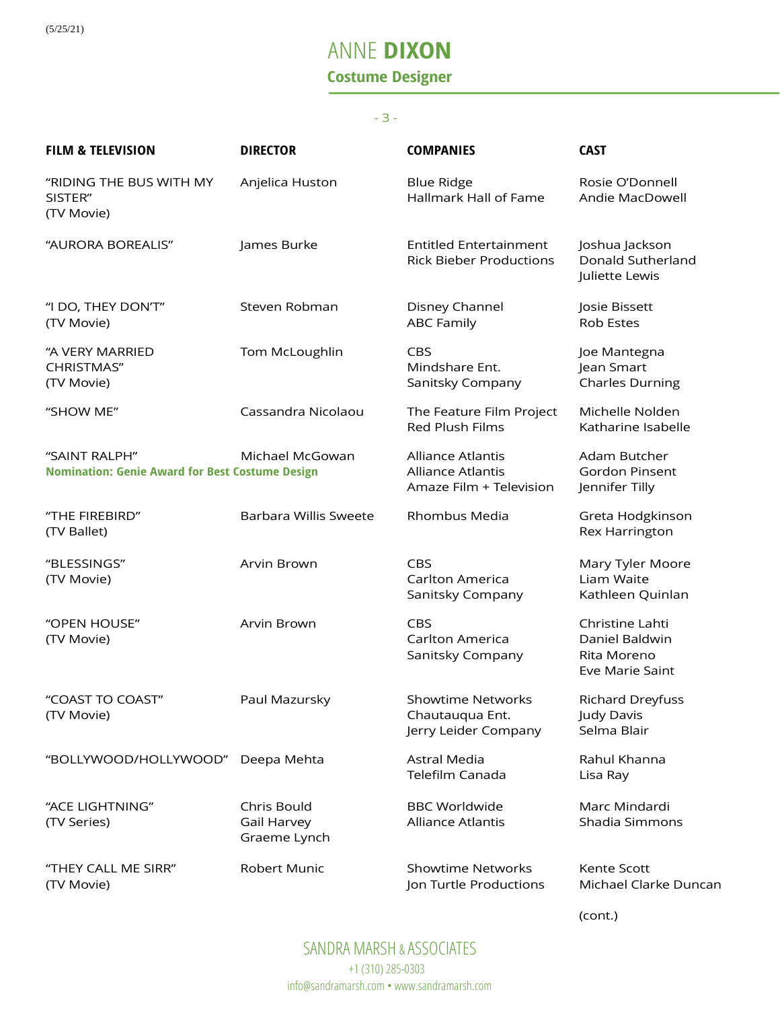# ANNE **DIXON Costume Designer**

#### - 3 -

| <b>FILM &amp; TELEVISION</b>                                            | <b>DIRECTOR</b>                            | <b>COMPANIES</b>                                                                | <b>CAST</b>                                                         |
|-------------------------------------------------------------------------|--------------------------------------------|---------------------------------------------------------------------------------|---------------------------------------------------------------------|
| "RIDING THE BUS WITH MY<br>SISTER"<br>(TV Movie)                        | Anjelica Huston                            | <b>Blue Ridge</b><br>Hallmark Hall of Fame                                      | Rosie O'Donnell<br>Andie MacDowell                                  |
| "AURORA BOREALIS"                                                       | James Burke                                | <b>Entitled Entertainment</b><br><b>Rick Bieber Productions</b>                 | Joshua Jackson<br>Donald Sutherland<br>Juliette Lewis               |
| "I DO, THEY DON'T"<br>(TV Movie)                                        | Steven Robman                              | Disney Channel<br><b>ABC Family</b>                                             | Josie Bissett<br><b>Rob Estes</b>                                   |
| "A VERY MARRIED<br><b>CHRISTMAS"</b><br>(TV Movie)                      | Tom McLoughlin                             | <b>CBS</b><br>Mindshare Ent.<br>Sanitsky Company                                | Joe Mantegna<br>Jean Smart<br><b>Charles Durning</b>                |
| "SHOW ME"                                                               | Cassandra Nicolaou                         | The Feature Film Project<br><b>Red Plush Films</b>                              | Michelle Nolden<br>Katharine Isabelle                               |
| "SAINT RALPH"<br><b>Nomination: Genie Award for Best Costume Design</b> | Michael McGowan                            | <b>Alliance Atlantis</b><br><b>Alliance Atlantis</b><br>Amaze Film + Television | Adam Butcher<br><b>Gordon Pinsent</b><br>Jennifer Tilly             |
| "THE FIREBIRD"<br>(TV Ballet)                                           | <b>Barbara Willis Sweete</b>               | Rhombus Media                                                                   | Greta Hodgkinson<br>Rex Harrington                                  |
| "BLESSINGS"<br>(TV Movie)                                               | Arvin Brown                                | CBS<br>Carlton America<br>Sanitsky Company                                      | Mary Tyler Moore<br>Liam Waite<br>Kathleen Quinlan                  |
| "OPEN HOUSE"<br>(TV Movie)                                              | Arvin Brown                                | <b>CBS</b><br>Carlton America<br>Sanitsky Company                               | Christine Lahti<br>Daniel Baldwin<br>Rita Moreno<br>Eve Marie Saint |
| "COAST TO COAST"<br>(TV Movie)                                          | Paul Mazursky                              | <b>Showtime Networks</b><br>Chautauqua Ent.<br>Jerry Leider Company             | <b>Richard Dreyfuss</b><br>Judy Davis<br>Selma Blair                |
| "BOLLYWOOD/HOLLYWOOD"                                                   | Deepa Mehta                                | Astral Media<br>Telefilm Canada                                                 | Rahul Khanna<br>Lisa Ray                                            |
| "ACE LIGHTNING"<br>(TV Series)                                          | Chris Bould<br>Gail Harvey<br>Graeme Lynch | <b>BBC Worldwide</b><br><b>Alliance Atlantis</b>                                | Marc Mindardi<br>Shadia Simmons                                     |
| "THEY CALL ME SIRR"<br>(TV Movie)                                       | Robert Munic                               | <b>Showtime Networks</b><br>Jon Turtle Productions                              | Kente Scott<br>Michael Clarke Duncan                                |

(cont.)